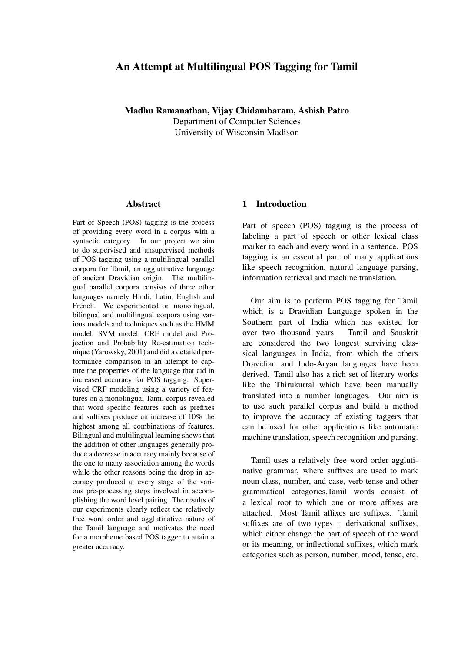# An Attempt at Multilingual POS Tagging for Tamil

Madhu Ramanathan, Vijay Chidambaram, Ashish Patro

Department of Computer Sciences University of Wisconsin Madison

#### Abstract

Part of Speech (POS) tagging is the process of providing every word in a corpus with a syntactic category. In our project we aim to do supervised and unsupervised methods of POS tagging using a multilingual parallel corpora for Tamil, an agglutinative language of ancient Dravidian origin. The multilingual parallel corpora consists of three other languages namely Hindi, Latin, English and French. We experimented on monolingual, bilingual and multilingual corpora using various models and techniques such as the HMM model, SVM model, CRF model and Projection and Probability Re-estimation technique (Yarowsky, 2001) and did a detailed performance comparison in an attempt to capture the properties of the language that aid in increased accuracy for POS tagging. Supervised CRF modeling using a variety of features on a monolingual Tamil corpus revealed that word specific features such as prefixes and suffixes produce an increase of 10% the highest among all combinations of features. Bilingual and multilingual learning shows that the addition of other languages generally produce a decrease in accuracy mainly because of the one to many association among the words while the other reasons being the drop in accuracy produced at every stage of the various pre-processing steps involved in accomplishing the word level pairing. The results of our experiments clearly reflect the relatively free word order and agglutinative nature of the Tamil language and motivates the need for a morpheme based POS tagger to attain a greater accuracy.

### 1 Introduction

Part of speech (POS) tagging is the process of labeling a part of speech or other lexical class marker to each and every word in a sentence. POS tagging is an essential part of many applications like speech recognition, natural language parsing, information retrieval and machine translation.

Our aim is to perform POS tagging for Tamil which is a Dravidian Language spoken in the Southern part of India which has existed for over two thousand years. Tamil and Sanskrit are considered the two longest surviving classical languages in India, from which the others Dravidian and Indo-Aryan languages have been derived. Tamil also has a rich set of literary works like the Thirukurral which have been manually translated into a number languages. Our aim is to use such parallel corpus and build a method to improve the accuracy of existing taggers that can be used for other applications like automatic machine translation, speech recognition and parsing.

Tamil uses a relatively free word order agglutinative grammar, where suffixes are used to mark noun class, number, and case, verb tense and other grammatical categories.Tamil words consist of a lexical root to which one or more affixes are attached. Most Tamil affixes are suffixes. Tamil suffixes are of two types : derivational suffixes, which either change the part of speech of the word or its meaning, or inflectional suffixes, which mark categories such as person, number, mood, tense, etc.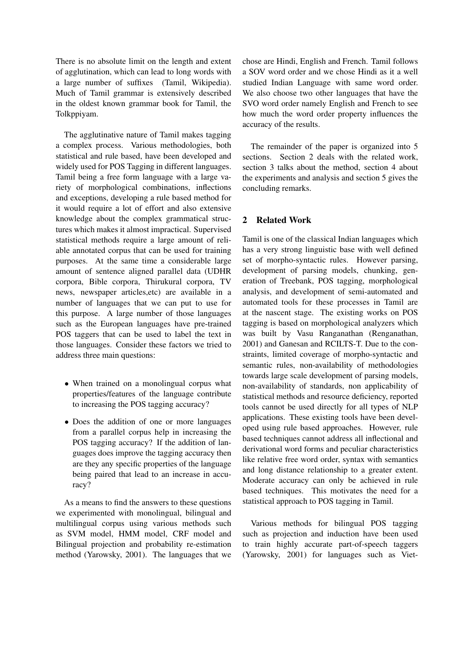There is no absolute limit on the length and extent of agglutination, which can lead to long words with a large number of suffixes (Tamil, Wikipedia). Much of Tamil grammar is extensively described in the oldest known grammar book for Tamil, the Tolkppiyam.

The agglutinative nature of Tamil makes tagging a complex process. Various methodologies, both statistical and rule based, have been developed and widely used for POS Tagging in different languages. Tamil being a free form language with a large variety of morphological combinations, inflections and exceptions, developing a rule based method for it would require a lot of effort and also extensive knowledge about the complex grammatical structures which makes it almost impractical. Supervised statistical methods require a large amount of reliable annotated corpus that can be used for training purposes. At the same time a considerable large amount of sentence aligned parallel data (UDHR corpora, Bible corpora, Thirukural corpora, TV news, newspaper articles,etc) are available in a number of languages that we can put to use for this purpose. A large number of those languages such as the European languages have pre-trained POS taggers that can be used to label the text in those languages. Consider these factors we tried to address three main questions:

- When trained on a monolingual corpus what properties/features of the language contribute to increasing the POS tagging accuracy?
- *•* Does the addition of one or more languages from a parallel corpus help in increasing the POS tagging accuracy? If the addition of languages does improve the tagging accuracy then are they any specific properties of the language being paired that lead to an increase in accuracy?

As a means to find the answers to these questions we experimented with monolingual, bilingual and multilingual corpus using various methods such as SVM model, HMM model, CRF model and Bilingual projection and probability re-estimation method (Yarowsky, 2001). The languages that we

chose are Hindi, English and French. Tamil follows a SOV word order and we chose Hindi as it a well studied Indian Language with same word order. We also choose two other languages that have the SVO word order namely English and French to see how much the word order property influences the accuracy of the results.

The remainder of the paper is organized into 5 sections. Section 2 deals with the related work, section 3 talks about the method, section 4 about the experiments and analysis and section 5 gives the concluding remarks.

## 2 Related Work

Tamil is one of the classical Indian languages which has a very strong linguistic base with well defined set of morpho-syntactic rules. However parsing, development of parsing models, chunking, generation of Treebank, POS tagging, morphological analysis, and development of semi-automated and automated tools for these processes in Tamil are at the nascent stage. The existing works on POS tagging is based on morphological analyzers which was built by Vasu Ranganathan (Renganathan, 2001) and Ganesan and RCILTS-T. Due to the constraints, limited coverage of morpho-syntactic and semantic rules, non-availability of methodologies towards large scale development of parsing models, non-availability of standards, non applicability of statistical methods and resource deficiency, reported tools cannot be used directly for all types of NLP applications. These existing tools have been developed using rule based approaches. However, rule based techniques cannot address all inflectional and derivational word forms and peculiar characteristics like relative free word order, syntax with semantics and long distance relationship to a greater extent. Moderate accuracy can only be achieved in rule based techniques. This motivates the need for a statistical approach to POS tagging in Tamil.

Various methods for bilingual POS tagging such as projection and induction have been used to train highly accurate part-of-speech taggers (Yarowsky, 2001) for languages such as Viet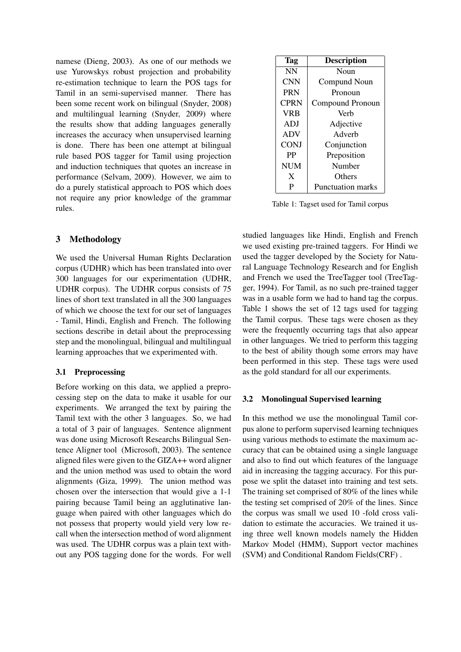namese (Dieng, 2003). As one of our methods we use Yurowskys robust projection and probability re-estimation technique to learn the POS tags for Tamil in an semi-supervised manner. There has been some recent work on bilingual (Snyder, 2008) and multilingual learning (Snyder, 2009) where the results show that adding languages generally increases the accuracy when unsupervised learning is done. There has been one attempt at bilingual rule based POS tagger for Tamil using projection and induction techniques that quotes an increase in performance (Selvam, 2009). However, we aim to do a purely statistical approach to POS which does not require any prior knowledge of the grammar rules.

### 3 Methodology

We used the Universal Human Rights Declaration corpus (UDHR) which has been translated into over 300 languages for our experimentation (UDHR, UDHR corpus). The UDHR corpus consists of 75 lines of short text translated in all the 300 languages of which we choose the text for our set of languages - Tamil, Hindi, English and French. The following sections describe in detail about the preprocessing step and the monolingual, bilingual and multilingual learning approaches that we experimented with.

### 3.1 Preprocessing

Before working on this data, we applied a preprocessing step on the data to make it usable for our experiments. We arranged the text by pairing the Tamil text with the other 3 languages. So, we had a total of 3 pair of languages. Sentence alignment was done using Microsoft Researchs Bilingual Sentence Aligner tool (Microsoft, 2003). The sentence aligned files were given to the GIZA++ word aligner and the union method was used to obtain the word alignments (Giza, 1999). The union method was chosen over the intersection that would give a 1-1 pairing because Tamil being an agglutinative language when paired with other languages which do not possess that property would yield very low recall when the intersection method of word alignment was used. The UDHR corpus was a plain text without any POS tagging done for the words. For well

| <b>Tag</b>  | <b>Description</b>       |
|-------------|--------------------------|
| <b>NN</b>   | Noun                     |
| <b>CNN</b>  | Compund Noun             |
| <b>PRN</b>  | Pronoun                  |
| <b>CPRN</b> | Compound Pronoun         |
| VRB         | Verb                     |
| ADJ         | Adjective                |
| <b>ADV</b>  | Adverb                   |
| <b>CONJ</b> | Conjunction              |
| PP          | Preposition              |
| <b>NUM</b>  | Number                   |
| X           | Others                   |
| P           | <b>Punctuation marks</b> |

Table 1: Tagset used for Tamil corpus

studied languages like Hindi, English and French we used existing pre-trained taggers. For Hindi we used the tagger developed by the Society for Natural Language Technology Research and for English and French we used the TreeTagger tool (TreeTagger, 1994). For Tamil, as no such pre-trained tagger was in a usable form we had to hand tag the corpus. Table 1 shows the set of 12 tags used for tagging the Tamil corpus. These tags were chosen as they were the frequently occurring tags that also appear in other languages. We tried to perform this tagging to the best of ability though some errors may have been performed in this step. These tags were used as the gold standard for all our experiments.

### 3.2 Monolingual Supervised learning

In this method we use the monolingual Tamil corpus alone to perform supervised learning techniques using various methods to estimate the maximum accuracy that can be obtained using a single language and also to find out which features of the language aid in increasing the tagging accuracy. For this purpose we split the dataset into training and test sets. The training set comprised of 80% of the lines while the testing set comprised of 20% of the lines. Since the corpus was small we used 10 -fold cross validation to estimate the accuracies. We trained it using three well known models namely the Hidden Markov Model (HMM), Support vector machines (SVM) and Conditional Random Fields(CRF) .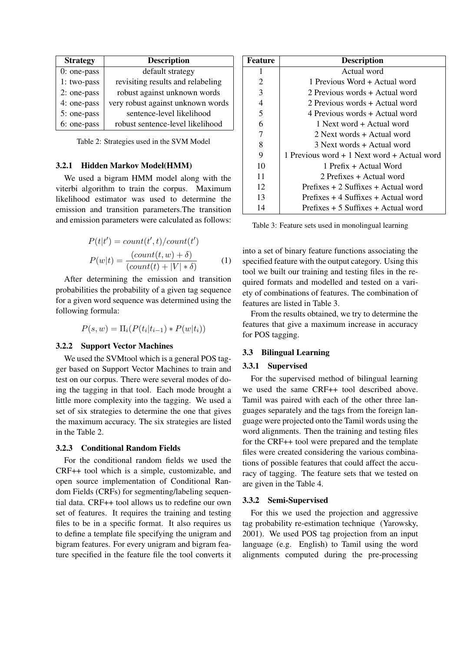| <b>Strategy</b> | <b>Description</b>                |
|-----------------|-----------------------------------|
| $0:$ one-pass   | default strategy                  |
| 1: two-pass     | revisiting results and relabeling |
| 2: one-pass     | robust against unknown words      |
| 4: one-pass     | very robust against unknown words |
| 5: one-pass     | sentence-level likelihood         |
| 6: one-pass     | robust sentence-level likelihood  |

Table 2: Strategies used in the SVM Model

#### 3.2.1 Hidden Markov Model(HMM)

We used a bigram HMM model along with the viterbi algorithm to train the corpus. Maximum likelihood estimator was used to determine the emission and transition parameters.The transition and emission parameters were calculated as follows:

$$
P(t|t') = count(t',t)/count(t')
$$

$$
P(w|t) = \frac{(count(t,w) + \delta)}{(count(t) + |V| * \delta)}
$$
(1)

After determining the emission and transition probabilities the probability of a given tag sequence for a given word sequence was determined using the following formula:

$$
P(s, w) = \Pi_i(P(t_i|t_{i-1}) * P(w|t_i))
$$

#### 3.2.2 Support Vector Machines

We used the SVMtool which is a general POS tagger based on Support Vector Machines to train and test on our corpus. There were several modes of doing the tagging in that tool. Each mode brought a little more complexity into the tagging. We used a set of six strategies to determine the one that gives the maximum accuracy. The six strategies are listed in the Table 2.

#### 3.2.3 Conditional Random Fields

For the conditional random fields we used the CRF++ tool which is a simple, customizable, and open source implementation of Conditional Random Fields (CRFs) for segmenting/labeling sequential data. CRF++ tool allows us to redefine our own set of features. It requires the training and testing files to be in a specific format. It also requires us to define a template file specifying the unigram and bigram features. For every unigram and bigram feature specified in the feature file the tool converts it

| Feature        | <b>Description</b>                          |
|----------------|---------------------------------------------|
| 1              | Actual word                                 |
| 2              | 1 Previous Word + Actual word               |
| 3              | 2 Previous words + Actual word              |
| $\overline{4}$ | 2 Previous words + Actual word              |
| 5              | 4 Previous words + Actual word              |
| 6              | 1 Next word + Actual word                   |
| 7              | 2 Next words + Actual word                  |
| 8              | 3 Next words + Actual word                  |
| 9              | 1 Previous word + 1 Next word + Actual word |
| 10             | 1 Prefix + Actual Word                      |
| 11             | 2 Prefixes + Actual word                    |
| 12             | Prefixes $+2$ Suffixes $+$ Actual word      |
| 13             | Prefixes $+4$ Suffixes $+$ Actual word      |
| 14             | Prefixes $+5$ Suffixes $+$ Actual word      |

Table 3: Feature sets used in monolingual learning

into a set of binary feature functions associating the specified feature with the output category. Using this tool we built our training and testing files in the required formats and modelled and tested on a variety of combinations of features. The combination of features are listed in Table 3.

From the results obtained, we try to determine the features that give a maximum increase in accuracy for POS tagging.

#### 3.3 Bilingual Learning

#### 3.3.1 Supervised

For the supervised method of bilingual learning we used the same CRF++ tool described above. Tamil was paired with each of the other three languages separately and the tags from the foreign language were projected onto the Tamil words using the word alignments. Then the training and testing files for the CRF++ tool were prepared and the template files were created considering the various combinations of possible features that could affect the accuracy of tagging. The feature sets that we tested on are given in the Table 4.

#### 3.3.2 Semi-Supervised

For this we used the projection and aggressive tag probability re-estimation technique (Yarowsky, 2001). We used POS tag projection from an input language (e.g. English) to Tamil using the word alignments computed during the pre-processing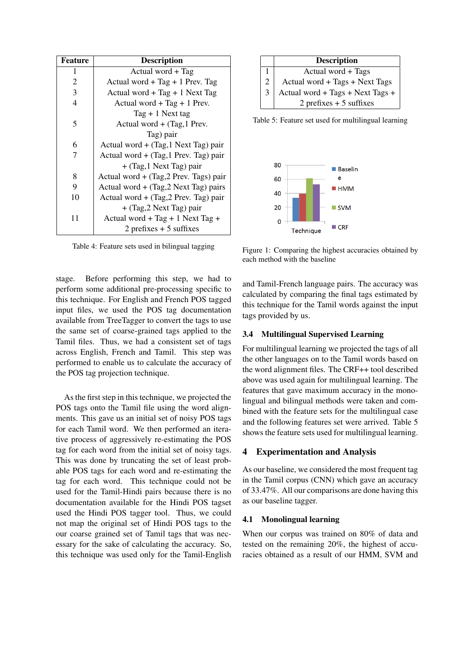| <b>Feature</b> | <b>Description</b>                      |
|----------------|-----------------------------------------|
| 1              | Actual word + Tag                       |
| $\overline{c}$ | Actual word + Tag + 1 Prev. Tag         |
| 3              | Actual word + Tag + 1 Next Tag          |
| 4              | Actual word + Tag + 1 Prev.             |
|                | Tag $+1$ Next tag                       |
| 5              | Actual word + (Tag, 1 Prev.             |
|                | Tag) pair                               |
| 6              | Actual word $+$ (Tag, 1 Next Tag) pair  |
| 7              | Actual word $+$ (Tag, 1 Prev. Tag) pair |
|                | $+$ (Tag, 1 Next Tag) pair              |
| 8              | Actual word + (Tag, 2 Prev. Tags) pair  |
| 9              | Actual word $+$ (Tag, 2 Next Tag) pairs |
| 10             | Actual word $+$ (Tag, 2 Prev. Tag) pair |
|                | $+$ (Tag, 2 Next Tag) pair              |
| 11             | Actual word + Tag + 1 Next Tag +        |
|                | $2$ prefixes $+5$ suffixes              |

Table 4: Feature sets used in bilingual tagging

stage. Before performing this step, we had to perform some additional pre-processing specific to this technique. For English and French POS tagged input files, we used the POS tag documentation available from TreeTagger to convert the tags to use the same set of coarse-grained tags applied to the Tamil files. Thus, we had a consistent set of tags across English, French and Tamil. This step was performed to enable us to calculate the accuracy of the POS tag projection technique.

As the first step in this technique, we projected the POS tags onto the Tamil file using the word alignments. This gave us an initial set of noisy POS tags for each Tamil word. We then performed an iterative process of aggressively re-estimating the POS tag for each word from the initial set of noisy tags. This was done by truncating the set of least probable POS tags for each word and re-estimating the tag for each word. This technique could not be used for the Tamil-Hindi pairs because there is no documentation available for the Hindi POS tagset used the Hindi POS tagger tool. Thus, we could not map the original set of Hindi POS tags to the our coarse grained set of Tamil tags that was necessary for the sake of calculating the accuracy. So, this technique was used only for the Tamil-English



Table 5: Feature set used for multilingual learning



Figure 1: Comparing the highest accuracies obtained by each method with the baseline

and Tamil-French language pairs. The accuracy was calculated by comparing the final tags estimated by this technique for the Tamil words against the input tags provided by us.

### 3.4 Multilingual Supervised Learning

For multilingual learning we projected the tags of all the other languages on to the Tamil words based on the word alignment files. The CRF++ tool described above was used again for multilingual learning. The features that gave maximum accuracy in the monolingual and bilingual methods were taken and combined with the feature sets for the multilingual case and the following features set were arrived. Table 5 shows the feature sets used for multilingual learning.

### 4 Experimentation and Analysis

As our baseline, we considered the most frequent tag in the Tamil corpus (CNN) which gave an accuracy of 33.47%. All our comparisons are done having this as our baseline tagger.

### 4.1 Monolingual learning

When our corpus was trained on 80% of data and tested on the remaining 20%, the highest of accuracies obtained as a result of our HMM, SVM and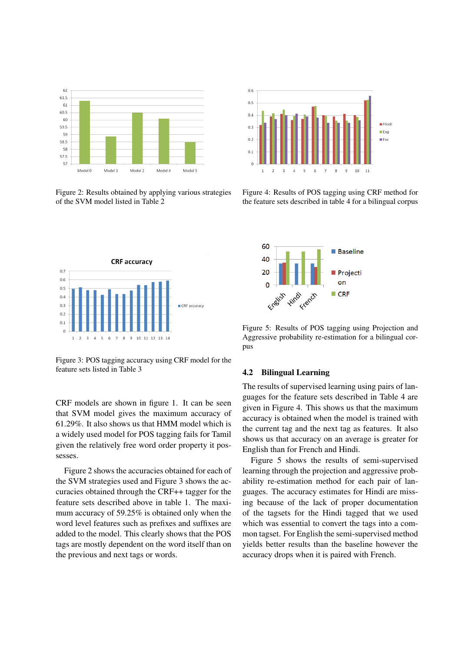

Figure 2: Results obtained by applying various strategies of the SVM model listed in Table 2



Figure 4: Results of POS tagging using CRF method for the feature sets described in table 4 for a bilingual corpus



Figure 3: POS tagging accuracy using CRF model for the feature sets listed in Table 3

CRF models are shown in figure 1. It can be seen that SVM model gives the maximum accuracy of 61.29%. It also shows us that HMM model which is a widely used model for POS tagging fails for Tamil given the relatively free word order property it possesses.

Figure 2 shows the accuracies obtained for each of the SVM strategies used and Figure 3 shows the accuracies obtained through the CRF++ tagger for the feature sets described above in table 1. The maximum accuracy of 59.25% is obtained only when the word level features such as prefixes and suffixes are added to the model. This clearly shows that the POS tags are mostly dependent on the word itself than on the previous and next tags or words.



Figure 5: Results of POS tagging using Projection and Aggressive probability re-estimation for a bilingual corpus

#### 4.2 Bilingual Learning

The results of supervised learning using pairs of languages for the feature sets described in Table 4 are given in Figure 4. This shows us that the maximum accuracy is obtained when the model is trained with the current tag and the next tag as features. It also shows us that accuracy on an average is greater for English than for French and Hindi.

Figure 5 shows the results of semi-supervised learning through the projection and aggressive probability re-estimation method for each pair of languages. The accuracy estimates for Hindi are missing because of the lack of proper documentation of the tagsets for the Hindi tagged that we used which was essential to convert the tags into a common tagset. For English the semi-supervised method yields better results than the baseline however the accuracy drops when it is paired with French.